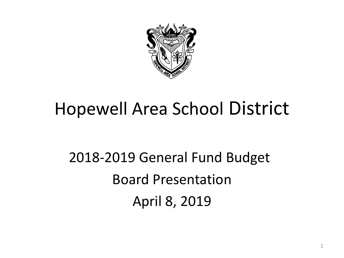

#### Hopewell Area School District

2018-2019 General Fund Budget Board Presentation April 8, 2019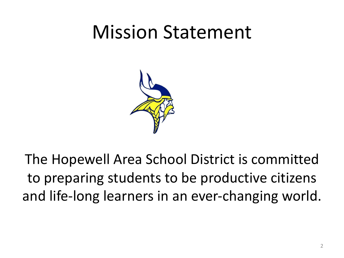## Mission Statement



The Hopewell Area School District is committed to preparing students to be productive citizens and life-long learners in an ever-changing world.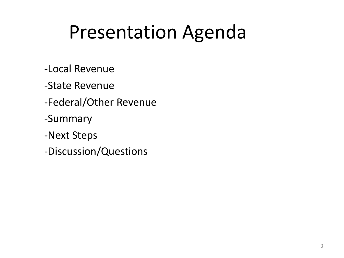## Presentation Agenda

- -Local Revenue
- -State Revenue
- -Federal/Other Revenue
- -Summary
- -Next Steps
- -Discussion/Questions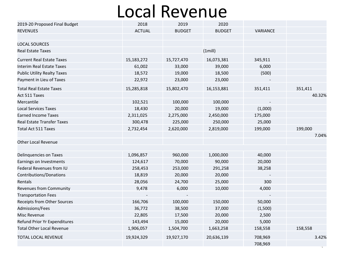#### Local Revenue

| 2019-20 Proposed Final Budget      | 2018          | 2019          | 2020          |          |         |
|------------------------------------|---------------|---------------|---------------|----------|---------|
| <b>REVENUES</b>                    | <b>ACTUAL</b> | <b>BUDGET</b> | <b>BUDGET</b> | VARIANCE |         |
|                                    |               |               |               |          |         |
| <b>LOCAL SOURCES</b>               |               |               |               |          |         |
| <b>Real Estate Taxes</b>           |               | (1mill)       |               |          |         |
| <b>Current Real Estate Taxes</b>   | 15,183,272    | 15,727,470    | 16,073,381    | 345,911  |         |
| <b>Interim Real Estate Taxes</b>   | 61,002        | 33,000        | 39,000        | 6,000    |         |
| <b>Public Utility Realty Taxes</b> | 18,572        | 19,000        | 18,500        | (500)    |         |
| Payment in Lieu of Taxes           | 22,972        | 23,000        | 23,000        |          |         |
| <b>Total Real Estate Taxes</b>     | 15,285,818    | 15,802,470    | 16,153,881    | 351,411  | 351,411 |
| Act 511 Taxes                      |               |               |               |          | 40.32%  |
| Mercantile                         | 102,521       | 100,000       | 100,000       |          |         |
| <b>Local Services Taxes</b>        | 18,430        | 20,000        | 19,000        | (1,000)  |         |
| <b>Earned Income Taxes</b>         | 2,311,025     | 2,275,000     | 2,450,000     | 175,000  |         |
| <b>Real Estate Transfer Taxes</b>  | 300,478       | 225,000       | 250,000       | 25,000   |         |
| <b>Total Act 511 Taxes</b>         | 2,732,454     | 2,620,000     | 2,819,000     | 199,000  | 199,000 |
|                                    |               |               |               |          | 7.04%   |
| <b>Other Local Revenue</b>         |               |               |               |          |         |
|                                    |               |               |               |          |         |
| Delinquencies on Taxes             | 1,096,857     | 960,000       | 1,000,000     | 40,000   |         |
| Earnings on Investments            | 124,617       | 70,000        | 90,000        | 20,000   |         |
| Federal Revenues from IU           | 258,453       | 253,000       | 291,258       | 38,258   |         |
| Contributions/Donations            | 18,819        | 20,000        | 20,000        |          |         |
| Rentals                            | 28,056        | 24,700        | 25,000        | 300      |         |
| Revenues from Community            | 9,478         | 6,000         | 10,000        | 4,000    |         |
| <b>Transportation Fees</b>         |               |               |               |          |         |
| Receipts from Other Sources        | 166,706       | 100,000       | 150,000       | 50,000   |         |
| Admissions/Fees                    | 36,772        | 38,500        | 37,000        | (1,500)  |         |
| Misc Revenue                       | 22,805        | 17,500        | 20,000        | 2,500    |         |
| Refund Prior Yr Expenditures       | 143,494       | 15,000        | 20,000        | 5,000    |         |
| <b>Total Other Local Revenue</b>   | 1,906,057     | 1,504,700     | 1,663,258     | 158,558  | 158,558 |
| TOTAL LOCAL REVENUE                | 19,924,329    | 19,927,170    | 20,636,139    | 708,969  | 3.42%   |
|                                    |               |               |               | 708,969  |         |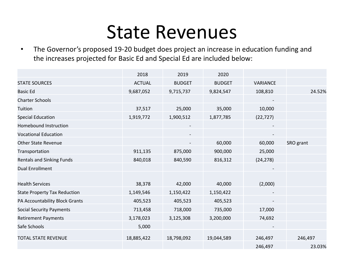#### State Revenues

• The Governor's proposed 19-20 budget does project an increase in education funding and the increases projected for Basic Ed and Special Ed are included below:

|                                     | 2018          | 2019          | 2020          |           |           |
|-------------------------------------|---------------|---------------|---------------|-----------|-----------|
| <b>STATE SOURCES</b>                | <b>ACTUAL</b> | <b>BUDGET</b> | <b>BUDGET</b> | VARIANCE  |           |
| <b>Basic Ed</b>                     | 9,687,052     | 9,715,737     | 9,824,547     | 108,810   | 24.52%    |
| <b>Charter Schools</b>              |               |               |               |           |           |
| Tuition                             | 37,517        | 25,000        | 35,000        | 10,000    |           |
| <b>Special Education</b>            | 1,919,772     | 1,900,512     | 1,877,785     | (22, 727) |           |
| <b>Homebound Instruction</b>        |               |               |               |           |           |
| <b>Vocational Education</b>         |               |               |               |           |           |
| <b>Other State Revenue</b>          |               |               | 60,000        | 60,000    | SRO grant |
| Transportation                      | 911,135       | 875,000       | 900,000       | 25,000    |           |
| <b>Rentals and Sinking Funds</b>    | 840,018       | 840,590       | 816,312       | (24, 278) |           |
| <b>Dual Enrollment</b>              |               |               |               |           |           |
|                                     |               |               |               |           |           |
| <b>Health Services</b>              | 38,378        | 42,000        | 40,000        | (2,000)   |           |
| <b>State Property Tax Reduction</b> | 1,149,546     | 1,150,422     | 1,150,422     |           |           |
| PA Accountability Block Grants      | 405,523       | 405,523       | 405,523       |           |           |
| <b>Social Security Payments</b>     | 713,458       | 718,000       | 735,000       | 17,000    |           |
| <b>Retirement Payments</b>          | 3,178,023     | 3,125,308     | 3,200,000     | 74,692    |           |
| Safe Schools                        | 5,000         |               |               |           |           |
| <b>TOTAL STATE REVENUE</b>          | 18,885,422    | 18,798,092    | 19,044,589    | 246,497   | 246,497   |
|                                     |               |               |               | 246,497   | 23.03%    |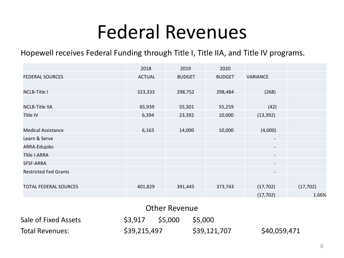### Federal Revenues

Hopewell receives Federal Funding through Title I, Title IIA, and Title IV programs.

|                              | 2018          | 2019          | 2020          |                          |           |
|------------------------------|---------------|---------------|---------------|--------------------------|-----------|
| <b>FEDERAL SOURCES</b>       | <b>ACTUAL</b> | <b>BUDGET</b> | <b>BUDGET</b> | VARIANCE                 |           |
|                              |               |               |               |                          |           |
| <b>NCLB-Title I</b>          | 323,333       | 298,752       | 298,484       | (268)                    |           |
|                              |               |               |               |                          |           |
| <b>NCLB-Title IIA</b>        | 65,939        | 55,301        | 55,259        | (42)                     |           |
| Title IV                     | 6,394         | 23,392        | 10,000        | (13, 392)                |           |
|                              |               |               |               |                          |           |
| <b>Medical Assistance</b>    | 6,163         | 14,000        | 10,000        | (4,000)                  |           |
| Learn & Serve                |               |               |               | $\overline{\phantom{a}}$ |           |
| ARRA-Edujobs                 |               |               |               | $\overline{\phantom{a}}$ |           |
| <b>Title I-ARRA</b>          |               |               |               | $\overline{\phantom{a}}$ |           |
| SFSF-ARRA                    |               |               |               | $\overline{\phantom{a}}$ |           |
| <b>Restricted Fed Grants</b> |               |               |               | $\overline{\phantom{a}}$ |           |
|                              |               |               |               |                          |           |
| <b>TOTAL FEDERAL SOURCES</b> | 401,829       | 391,445       | 373,743       | (17, 702)                | (17, 702) |
|                              |               |               |               | (17, 702)                | 1.66%     |

| <b>Other Revenue</b>   |              |         |              |              |  |  |
|------------------------|--------------|---------|--------------|--------------|--|--|
| Sale of Fixed Assets   | S3.917       | \$5.000 | S5.000       |              |  |  |
| <b>Total Revenues:</b> | \$39,215,497 |         | \$39,121,707 | \$40,059,471 |  |  |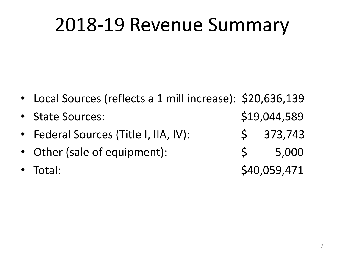## 2018-19 Revenue Summary

- Local Sources (reflects a 1 mill increase): \$20,636,139
- State Sources:  $$19,044,589$
- Federal Sources (Title I, IIA, IV):  $\begin{array}{cccc} \text{5} & 373,743 \end{array}$
- Other (sale of equipment):  $\frac{5}{2}$  5,000
- 

Total: \$40,059,471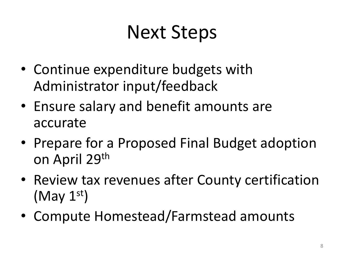## Next Steps

- Continue expenditure budgets with Administrator input/feedback
- Ensure salary and benefit amounts are accurate
- Prepare for a Proposed Final Budget adoption on April 29th
- Review tax revenues after County certification  $(May 1<sup>st</sup>)$
- Compute Homestead/Farmstead amounts